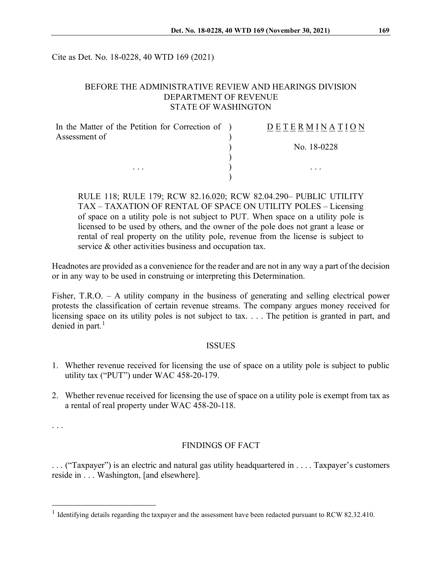Cite as Det. No. 18-0228, 40 WTD 169 (2021)

#### BEFORE THE ADMINISTRATIVE REVIEW AND HEARINGS DIVISION DEPARTMENT OF REVENUE STATE OF WASHINGTON

| In the Matter of the Petition for Correction of ) | DETERMINATION |
|---------------------------------------------------|---------------|
| Assessment of                                     |               |
|                                                   | No. 18-0228   |
|                                                   |               |
| $\cdots$                                          | $\cdots$      |
|                                                   |               |

RULE 118; RULE 179; RCW 82.16.020; RCW 82.04.290– PUBLIC UTILITY TAX – TAXATION OF RENTAL OF SPACE ON UTILITY POLES – Licensing of space on a utility pole is not subject to PUT. When space on a utility pole is licensed to be used by others, and the owner of the pole does not grant a lease or rental of real property on the utility pole, revenue from the license is subject to service & other activities business and occupation tax.

Headnotes are provided as a convenience for the reader and are not in any way a part of the decision or in any way to be used in construing or interpreting this Determination.

Fisher, T.R.O. – A utility company in the business of generating and selling electrical power protests the classification of certain revenue streams. The company argues money received for licensing space on its utility poles is not subject to tax. . . . The petition is granted in part, and denied in part. $<sup>1</sup>$  $<sup>1</sup>$  $<sup>1</sup>$ </sup>

#### ISSUES

- 1. Whether revenue received for licensing the use of space on a utility pole is subject to public utility tax ("PUT") under WAC 458-20-179.
- 2. Whether revenue received for licensing the use of space on a utility pole is exempt from tax as a rental of real property under WAC 458-20-118.

. . .

#### FINDINGS OF FACT

. . . ("Taxpayer") is an electric and natural gas utility headquartered in . . . . Taxpayer's customers reside in . . . Washington, [and elsewhere].

<span id="page-0-0"></span><sup>&</sup>lt;sup>1</sup> Identifying details regarding the taxpayer and the assessment have been redacted pursuant to RCW 82.32.410.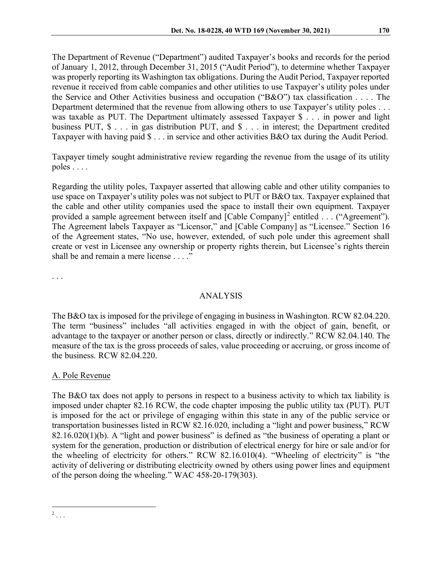The Department of Revenue ("Department") audited Taxpayer's books and records for the period of January 1, 2012, through December 31, 2015 ("Audit Period"), to determine whether Taxpayer was properly reporting its Washington tax obligations. During the Audit Period, Taxpayer reported revenue it received from cable companies and other utilities to use Taxpayer's utility poles under the Service and Other Activities business and occupation ("B&O") tax classification . . . . The Department determined that the revenue from allowing others to use Taxpayer's utility poles . . . was taxable as PUT. The Department ultimately assessed Taxpayer \$ . . . in power and light business PUT, \$ . . . in gas distribution PUT, and \$ . . . in interest; the Department credited Taxpayer with having paid \$ . . . in service and other activities B&O tax during the Audit Period.

Taxpayer timely sought administrative review regarding the revenue from the usage of its utility poles . . . .

Regarding the utility poles, Taxpayer asserted that allowing cable and other utility companies to use space on Taxpayer's utility poles was not subject to PUT or B&O tax. Taxpayer explained that the cable and other utility companies used the space to install their own equipment. Taxpayer provided a sample agreement between itself and  $[{\rm Cable \, Company}]^2$  $[{\rm Cable \, Company}]^2$  entitled . . . ("Agreement"). The Agreement labels Taxpayer as "Licensor," and [Cable Company] as "Licensee." Section 16 of the Agreement states, "No use, however, extended, of such pole under this agreement shall create or vest in Licensee any ownership or property rights therein, but Licensee's rights therein shall be and remain a mere license . . . ."

. . .

# ANALYSIS

The B&O tax is imposed for the privilege of engaging in business in Washington. RCW 82.04.220. The term "business" includes "all activities engaged in with the object of gain, benefit, or advantage to the taxpayer or another person or class, directly or indirectly." RCW 82.04.140. The measure of the tax is the gross proceeds of sales, value proceeding or accruing, or gross income of the business. RCW 82.04.220.

# A. Pole Revenue

<span id="page-1-0"></span>The B&O tax does not apply to persons in respect to a business activity to which tax liability is imposed under chapter 82.16 RCW, the code chapter imposing the public utility tax (PUT). PUT is imposed for the act or privilege of engaging within this state in any of the public service or transportation businesses listed in RCW 82.16.020, including a "light and power business," RCW 82.16.020(1)(b). A "light and power business" is defined as "the business of operating a plant or system for the generation, production or distribution of electrical energy for hire or sale and/or for the wheeling of electricity for others." RCW 82.16.010(4). "Wheeling of electricity" is "the activity of delivering or distributing electricity owned by others using power lines and equipment of the person doing the wheeling." WAC 458-20-179(303).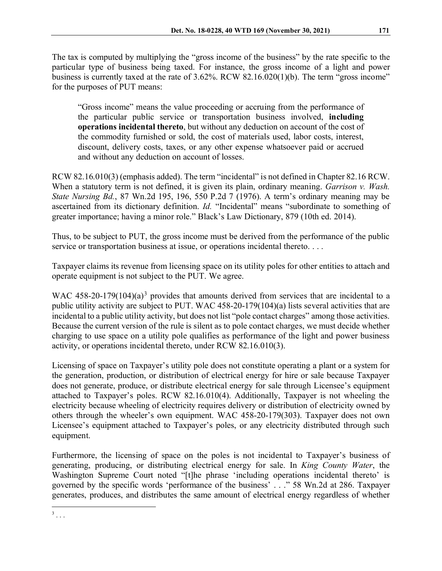The tax is computed by multiplying the "gross income of the business" by the rate specific to the particular type of business being taxed. For instance, the gross income of a light and power business is currently taxed at the rate of 3.62%. RCW 82.16.020(1)(b). The term "gross income" for the purposes of PUT means:

"Gross income" means the value proceeding or accruing from the performance of the particular public service or transportation business involved, **including operations incidental thereto**, but without any deduction on account of the cost of the commodity furnished or sold, the cost of materials used, labor costs, interest, discount, delivery costs, taxes, or any other expense whatsoever paid or accrued and without any deduction on account of losses.

RCW 82.16.010(3) (emphasis added). The term "incidental" is not defined in Chapter 82.16 RCW. When a statutory term is not defined, it is given its plain, ordinary meaning. *Garrison v. Wash. State Nursing Bd.*, 87 Wn.2d 195, 196, 550 P.2d 7 (1976). A term's ordinary meaning may be ascertained from its dictionary definition. *Id.* "Incidental" means "subordinate to something of greater importance; having a minor role." Black's Law Dictionary, 879 (10th ed. 2014).

Thus, to be subject to PUT, the gross income must be derived from the performance of the public service or transportation business at issue, or operations incidental thereto. . . .

Taxpayer claims its revenue from licensing space on its utility poles for other entities to attach and operate equipment is not subject to the PUT. We agree.

WAC 458-20-179(104)(a)<sup>[3](#page-2-0)</sup> provides that amounts derived from services that are incidental to a public utility activity are subject to PUT. WAC 458-20-179(104)(a) lists several activities that are incidental to a public utility activity, but does not list "pole contact charges" among those activities. Because the current version of the rule is silent as to pole contact charges, we must decide whether charging to use space on a utility pole qualifies as performance of the light and power business activity, or operations incidental thereto, under RCW 82.16.010(3).

Licensing of space on Taxpayer's utility pole does not constitute operating a plant or a system for the generation, production, or distribution of electrical energy for hire or sale because Taxpayer does not generate, produce, or distribute electrical energy for sale through Licensee's equipment attached to Taxpayer's poles. RCW 82.16.010(4). Additionally, Taxpayer is not wheeling the electricity because wheeling of electricity requires delivery or distribution of electricity owned by others through the wheeler's own equipment. WAC 458-20-179(303). Taxpayer does not own Licensee's equipment attached to Taxpayer's poles, or any electricity distributed through such equipment.

Furthermore, the licensing of space on the poles is not incidental to Taxpayer's business of generating, producing, or distributing electrical energy for sale. In *King County Water*, the Washington Supreme Court noted "[t]he phrase 'including operations incidental thereto' is governed by the specific words 'performance of the business' . . ." 58 Wn.2d at 286. Taxpayer generates, produces, and distributes the same amount of electrical energy regardless of whether

<span id="page-2-0"></span> $3 \ldots$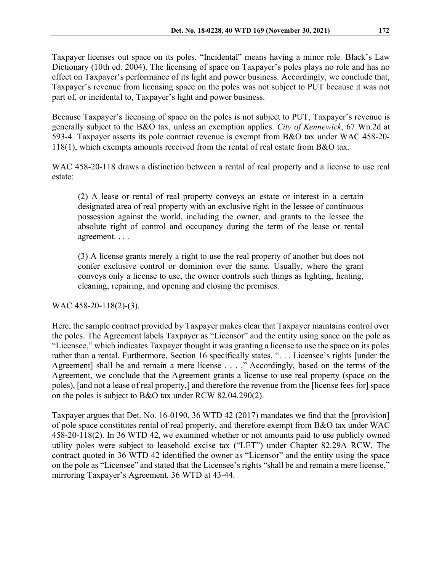Taxpayer licenses out space on its poles. "Incidental" means having a minor role. Black's Law Dictionary (10th ed. 2004). The licensing of space on Taxpayer's poles plays no role and has no effect on Taxpayer's performance of its light and power business. Accordingly, we conclude that, Taxpayer's revenue from licensing space on the poles was not subject to PUT because it was not part of, or incidental to, Taxpayer's light and power business.

Because Taxpayer's licensing of space on the poles is not subject to PUT, Taxpayer's revenue is generally subject to the B&O tax, unless an exemption applies. *City of Kennewick*, 67 Wn.2d at 593-4. Taxpayer asserts its pole contract revenue is exempt from B&O tax under WAC 458-20- 118(1), which exempts amounts received from the rental of real estate from B&O tax.

WAC 458-20-118 draws a distinction between a rental of real property and a license to use real estate:

(2) A lease or rental of real property conveys an estate or interest in a certain designated area of real property with an exclusive right in the lessee of continuous possession against the world, including the owner, and grants to the lessee the absolute right of control and occupancy during the term of the lease or rental agreement. . . .

(3) A license grants merely a right to use the real property of another but does not confer exclusive control or dominion over the same. Usually, where the grant conveys only a license to use, the owner controls such things as lighting, heating, cleaning, repairing, and opening and closing the premises.

WAC 458-20-118(2)-(3).

Here, the sample contract provided by Taxpayer makes clear that Taxpayer maintains control over the poles. The Agreement labels Taxpayer as "Licensor" and the entity using space on the pole as "Licensee," which indicates Taxpayer thought it was granting a license to use the space on its poles rather than a rental. Furthermore, Section 16 specifically states, ". . . Licensee's rights [under the Agreement] shall be and remain a mere license . . . ." Accordingly, based on the terms of the Agreement, we conclude that the Agreement grants a license to use real property (space on the poles), [and not a lease of real property,] and therefore the revenue from the [license fees for] space on the poles is subject to B&O tax under RCW 82.04.290(2).

Taxpayer argues that Det. No. 16-0190, 36 WTD 42 (2017) mandates we find that the [provision] of pole space constitutes rental of real property, and therefore exempt from B&O tax under WAC 458-20-118(2). In 36 WTD 42, we examined whether or not amounts paid to use publicly owned utility poles were subject to leasehold excise tax ("LET") under Chapter 82.29A RCW. The contract quoted in 36 WTD 42 identified the owner as "Licensor" and the entity using the space on the pole as "Licensee" and stated that the Licensee's rights "shall be and remain a mere license," mirroring Taxpayer's Agreement. 36 WTD at 43-44.